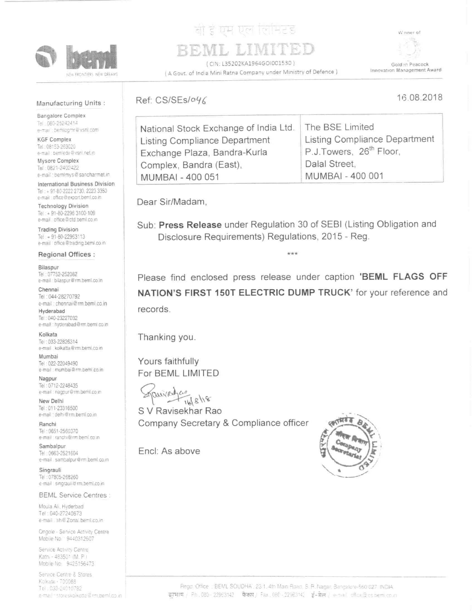

## [경 III] Um To H2 8

(CIN: L35202KA1964GOI001530) ( A Govt. of India Mini Ratna Company under Ministry of Defence )



## Manufacturing Units:

**Bangalore Complex** Tel: 080-25242414 e-mail: bemlogmr@vsnl.com

**KGF Complex** Tel: 08153-263020 e-mail: bemiede@vsnl.net.n

Mysore Complex Tel: 0821-2402422 e-mail: bemimys@sancharmet.in

International Business Division Tel: + 91-80-2222 2730, 2223 3350 e-mail: office@export.beml.co.in

**Technology Division** Tel: + 91-80-2296 3100-109 e-mail office@ctd.beml.co.in

**Trading Division** Tel: +91-80-22963113 e-mail office@trading.beml.co.in

Regional Offices :

Bilaspur Tel: 07752-252082 e-mail bilaspur@rm.beml.co.in

Chennai Tel: 044-28270792 e-mail : chennai@rm.beml.co.in Hyderabad

Tel: 040-23227032 e-mail : hyderabad@rm.beml.co.in

Kolkata Tel: 033-22826314 e-mail kolkatta@rm.beml.co.in

Mumbai Tel: 022-22049490 e-mail: mumbai@rm.beml.co.in

Nagpur Tel: 0712-2248435 e-mail: nagpur@rm.beml.co.in

New Delhi Tel: 011-23316500 e-mail : delhi@rm.beml.co.in

Ranchi Tel: 0651-2560370 e-mail : ranchi@rm.beml.co.in

Sambalpur Tel: 0663-2521604 e-mail sambalpur@rm.beml.co.in

Singrauli Tel: 07805-268260 e-mail singrauli@rm.beml.co.in

**BEML Service Centres:** 

Moula Ali, Hyderbad Tel: 040-27240873 e-mail sh@ Zonal beml.co.in

Ongole - Service Activity Centre Mobile No. 9440312607

Service Activity Centre Kathi - 483501 (M. P.) Mobile No. 9425156473

Service Centre & Stores Kolkata - 700088 Tel. 033-24010782 e-mail · storeskolkotte@rm.beml.co.in

## Ref: CS/SEs/046

16.08.2018

| National Stock Exchange of India Ltd.   The BSE Limited |
|---------------------------------------------------------|
| <b>Listing Compliance Department</b>                    |
| P.J.Towers, 26 <sup>th</sup> Floor.                     |
| Dalal Street,                                           |
| MUMBAI - 400 001                                        |
|                                                         |

Dear Sir/Madam,

Sub: Press Release under Regulation 30 of SEBI (Listing Obligation and Disclosure Requirements) Regulations, 2015 - Reg.

\*\*\*

Please find enclosed press release under caption 'BEML FLAGS OFF NATION'S FIRST 150T ELECTRIC DUMP TRUCK' for your reference and records.

Thanking you.

Yours faithfully For BEML LIMITED

 $118118$ 

S V Ravisekhar Rao Company Secretary & Compliance officer

Encl: As above